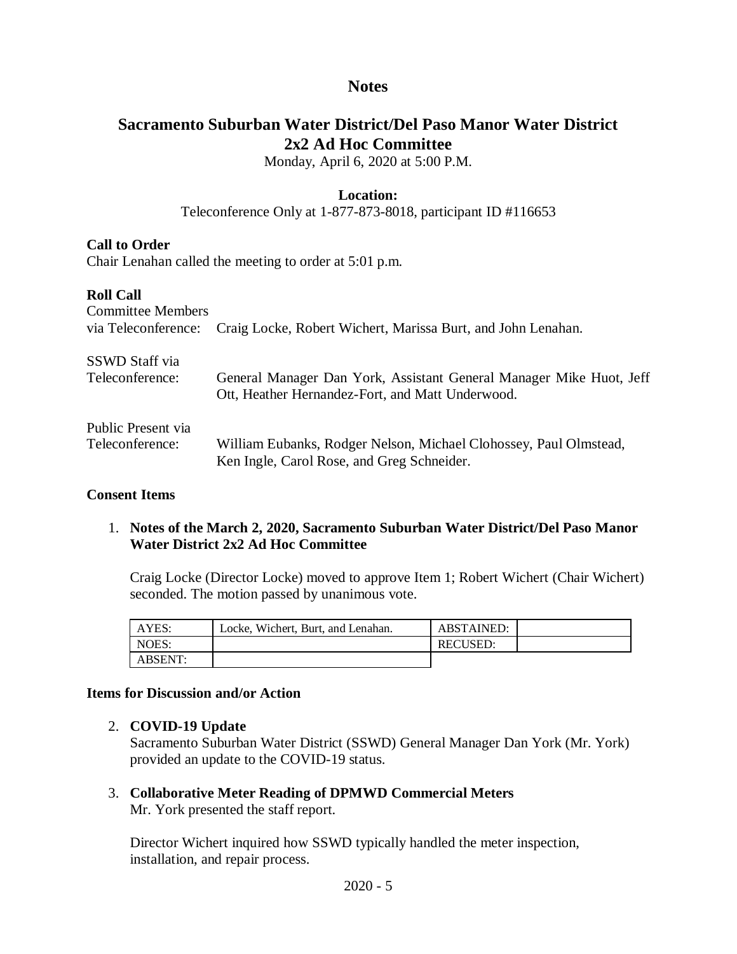## **Notes**

## **Sacramento Suburban Water District/Del Paso Manor Water District 2x2 Ad Hoc Committee**

Monday, April 6, 2020 at 5:00 P.M.

## **Location:**

Teleconference Only at 1-877-873-8018, participant ID #116653

## **Call to Order**

Chair Lenahan called the meeting to order at 5:01 p.m.

## **Roll Call**

| <b>Committee Members</b><br>via Teleconference: | Craig Locke, Robert Wichert, Marissa Burt, and John Lenahan.        |  |  |
|-------------------------------------------------|---------------------------------------------------------------------|--|--|
| SSWD Staff via                                  | General Manager Dan York, Assistant General Manager Mike Huot, Jeff |  |  |
| Teleconference:                                 | Ott, Heather Hernandez-Fort, and Matt Underwood.                    |  |  |
| Public Present via                              | William Eubanks, Rodger Nelson, Michael Clohossey, Paul Olmstead,   |  |  |
| Teleconference:                                 | Ken Ingle, Carol Rose, and Greg Schneider.                          |  |  |

#### **Consent Items**

1. **Notes of the March 2, 2020, Sacramento Suburban Water District/Del Paso Manor Water District 2x2 Ad Hoc Committee**

Craig Locke (Director Locke) moved to approve Item 1; Robert Wichert (Chair Wichert) seconded. The motion passed by unanimous vote.

| AYES:   | Locke, Wichert, Burt, and Lenahan. | <b>ABSTAINED:</b> |  |
|---------|------------------------------------|-------------------|--|
| NOES:   |                                    | <b>RECUSED:</b>   |  |
| ABSENT: |                                    |                   |  |

#### **Items for Discussion and/or Action**

## 2. **COVID-19 Update**

Sacramento Suburban Water District (SSWD) General Manager Dan York (Mr. York) provided an update to the COVID-19 status.

3. **Collaborative Meter Reading of DPMWD Commercial Meters** Mr. York presented the staff report.

Director Wichert inquired how SSWD typically handled the meter inspection, installation, and repair process.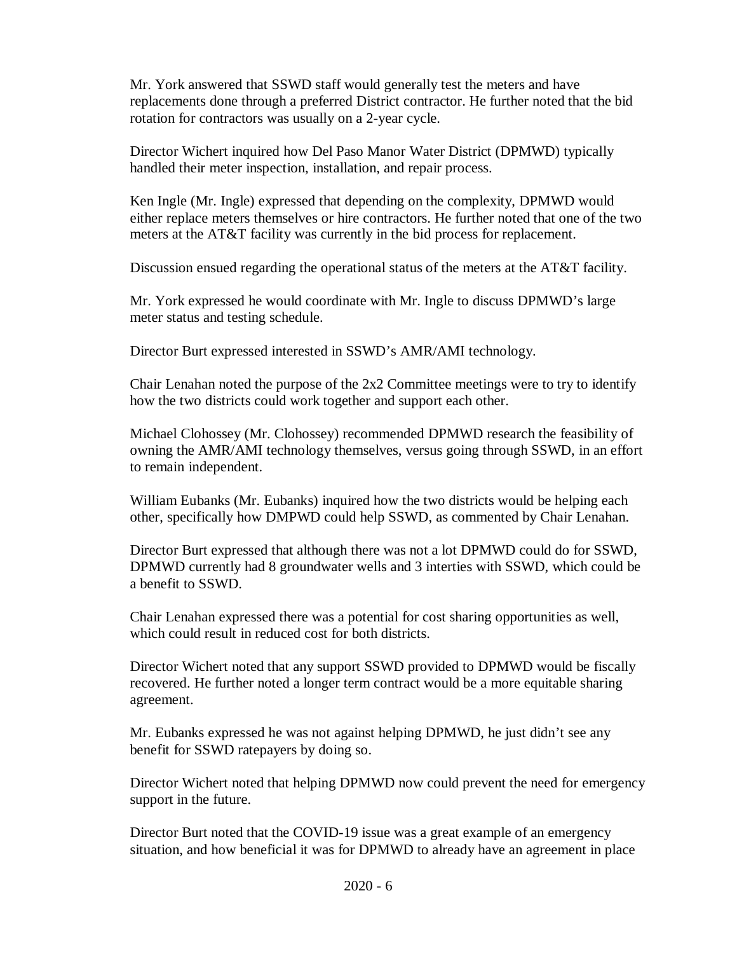Mr. York answered that SSWD staff would generally test the meters and have replacements done through a preferred District contractor. He further noted that the bid rotation for contractors was usually on a 2-year cycle.

Director Wichert inquired how Del Paso Manor Water District (DPMWD) typically handled their meter inspection, installation, and repair process.

Ken Ingle (Mr. Ingle) expressed that depending on the complexity, DPMWD would either replace meters themselves or hire contractors. He further noted that one of the two meters at the AT&T facility was currently in the bid process for replacement.

Discussion ensued regarding the operational status of the meters at the AT&T facility.

Mr. York expressed he would coordinate with Mr. Ingle to discuss DPMWD's large meter status and testing schedule.

Director Burt expressed interested in SSWD's AMR/AMI technology.

Chair Lenahan noted the purpose of the 2x2 Committee meetings were to try to identify how the two districts could work together and support each other.

Michael Clohossey (Mr. Clohossey) recommended DPMWD research the feasibility of owning the AMR/AMI technology themselves, versus going through SSWD, in an effort to remain independent.

William Eubanks (Mr. Eubanks) inquired how the two districts would be helping each other, specifically how DMPWD could help SSWD, as commented by Chair Lenahan.

Director Burt expressed that although there was not a lot DPMWD could do for SSWD, DPMWD currently had 8 groundwater wells and 3 interties with SSWD, which could be a benefit to SSWD.

Chair Lenahan expressed there was a potential for cost sharing opportunities as well, which could result in reduced cost for both districts.

Director Wichert noted that any support SSWD provided to DPMWD would be fiscally recovered. He further noted a longer term contract would be a more equitable sharing agreement.

Mr. Eubanks expressed he was not against helping DPMWD, he just didn't see any benefit for SSWD ratepayers by doing so.

Director Wichert noted that helping DPMWD now could prevent the need for emergency support in the future.

Director Burt noted that the COVID-19 issue was a great example of an emergency situation, and how beneficial it was for DPMWD to already have an agreement in place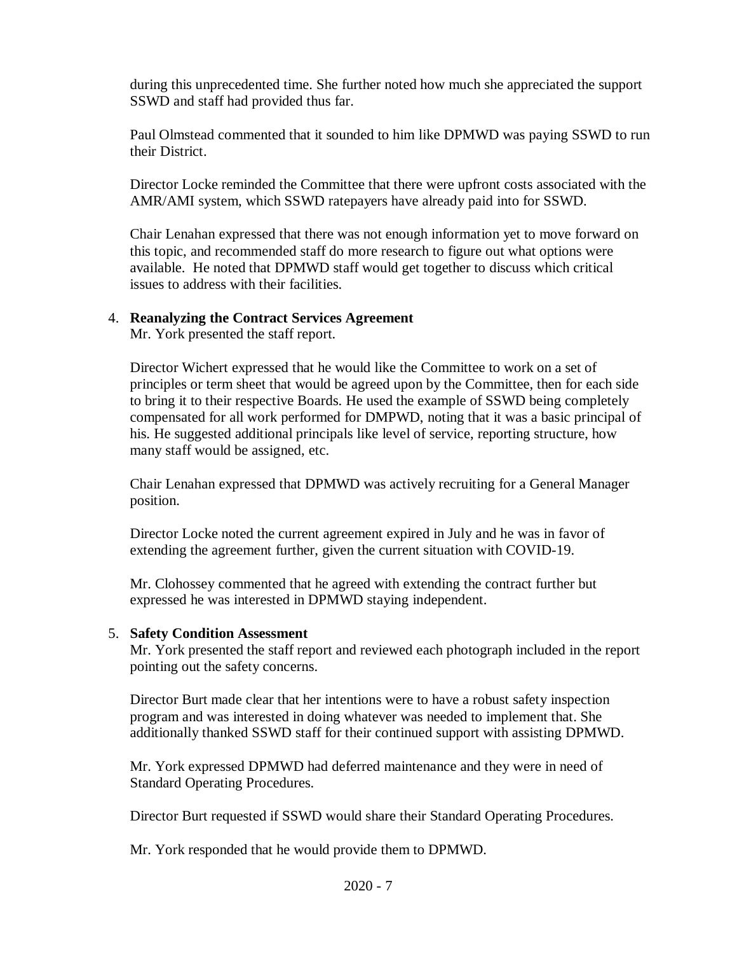during this unprecedented time. She further noted how much she appreciated the support SSWD and staff had provided thus far.

Paul Olmstead commented that it sounded to him like DPMWD was paying SSWD to run their District.

Director Locke reminded the Committee that there were upfront costs associated with the AMR/AMI system, which SSWD ratepayers have already paid into for SSWD.

Chair Lenahan expressed that there was not enough information yet to move forward on this topic, and recommended staff do more research to figure out what options were available. He noted that DPMWD staff would get together to discuss which critical issues to address with their facilities.

#### 4. **Reanalyzing the Contract Services Agreement**

Mr. York presented the staff report.

Director Wichert expressed that he would like the Committee to work on a set of principles or term sheet that would be agreed upon by the Committee, then for each side to bring it to their respective Boards. He used the example of SSWD being completely compensated for all work performed for DMPWD, noting that it was a basic principal of his. He suggested additional principals like level of service, reporting structure, how many staff would be assigned, etc.

Chair Lenahan expressed that DPMWD was actively recruiting for a General Manager position.

Director Locke noted the current agreement expired in July and he was in favor of extending the agreement further, given the current situation with COVID-19.

Mr. Clohossey commented that he agreed with extending the contract further but expressed he was interested in DPMWD staying independent.

#### 5. **Safety Condition Assessment**

Mr. York presented the staff report and reviewed each photograph included in the report pointing out the safety concerns.

Director Burt made clear that her intentions were to have a robust safety inspection program and was interested in doing whatever was needed to implement that. She additionally thanked SSWD staff for their continued support with assisting DPMWD.

Mr. York expressed DPMWD had deferred maintenance and they were in need of Standard Operating Procedures.

Director Burt requested if SSWD would share their Standard Operating Procedures.

Mr. York responded that he would provide them to DPMWD.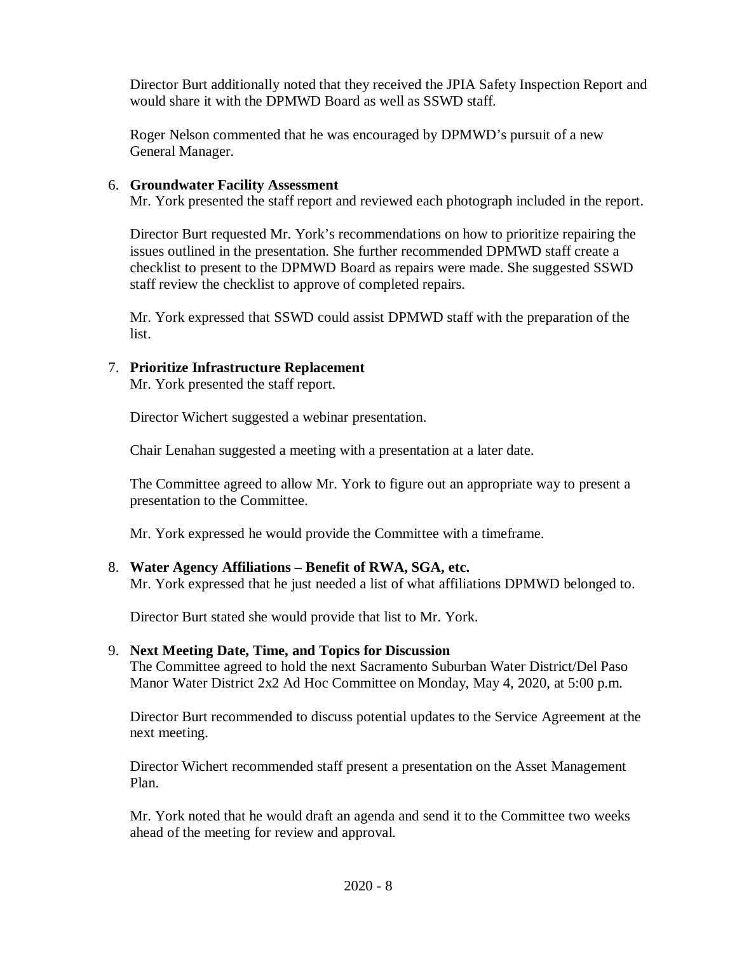Director Burt additionally noted that they received the JPIA Safety Inspection Report and would share it with the DPMWD Board as well as SSWD staff.

Roger Nelson commented that he was encouraged by DPMWD's pursuit of a new General Manager.

#### 6. **Groundwater Facility Assessment**

Mr. York presented the staff report and reviewed each photograph included in the report.

Director Burt requested Mr. York's recommendations on how to prioritize repairing the issues outlined in the presentation. She further recommended DPMWD staff create a checklist to present to the DPMWD Board as repairs were made. She suggested SSWD staff review the checklist to approve of completed repairs.

Mr. York expressed that SSWD could assist DPMWD staff with the preparation of the list.

## 7. **Prioritize Infrastructure Replacement**

Mr. York presented the staff report.

Director Wichert suggested a webinar presentation.

Chair Lenahan suggested a meeting with a presentation at a later date.

The Committee agreed to allow Mr. York to figure out an appropriate way to present a presentation to the Committee.

Mr. York expressed he would provide the Committee with a timeframe.

#### 8. **Water Agency Affiliations – Benefit of RWA, SGA, etc.**

Mr. York expressed that he just needed a list of what affiliations DPMWD belonged to.

Director Burt stated she would provide that list to Mr. York.

## 9. **Next Meeting Date, Time, and Topics for Discussion**

The Committee agreed to hold the next Sacramento Suburban Water District/Del Paso Manor Water District 2x2 Ad Hoc Committee on Monday, May 4, 2020, at 5:00 p.m.

Director Burt recommended to discuss potential updates to the Service Agreement at the next meeting.

Director Wichert recommended staff present a presentation on the Asset Management Plan.

Mr. York noted that he would draft an agenda and send it to the Committee two weeks ahead of the meeting for review and approval.